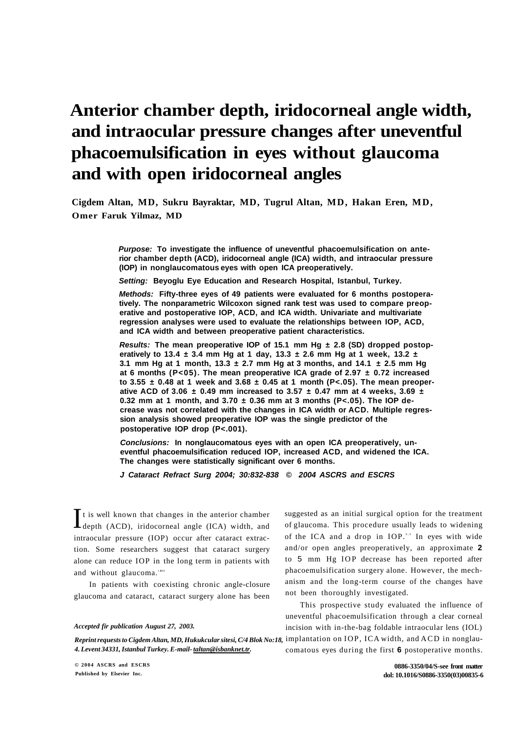# **Anterior chamber depth, iridocorneal angle width, and intraocular pressure changes after uneventful phacoemulsification in eyes without glaucoma and with open iridocorneal angles**

**Cigdem Altan, MD, Sukru Bayraktar, MD, Tugrul Altan, MD, Hakan Eren, MD, Omer Faruk Yilmaz, MD** 

> **Purpose: To investigate the influence of uneventful phacoemulsification on anterior chamber depth (ACD), iridocorneal angle (ICA) width, and intraocular pressure (IOP) in nonglaucomatous eyes with open ICA preoperatively.**

**Setting: Beyoglu Eye Education and Research Hospital, Istanbul, Turkey.** 

**Methods: Fifty-three eyes of 49 patients were evaluated for 6 months postoperatively. The nonparametric Wilcoxon signed rank test was used to compare preoperative and postoperative IOP, ACD, and ICA width. Univariate and multivariate regression analyses were used to evaluate the relationships between IOP, ACD, and ICA width and between preoperative patient characteristics.** 

**Results: The mean preoperative IOP of 15.1 mm Hg ± 2.8 (SD) dropped postoperatively to 13.4 ± 3.4 mm Hg at 1 day, 13.3 ± 2.6 mm Hg at 1 week, 13.2 ± 3.1 mm Hg at 1 month, 13.3 ± 2.7 mm Hg at 3 months, and 14.1 ± 2.5 mm Hg at 6 months (P<05). The mean preoperative ICA grade of 2.97 ± 0.72 increased to 3.55 ± 0.48 at 1 week and 3.68 ± 0.45 at 1 month (P<.05). The mean preoperative ACD of 3.06 ± 0.49 mm increased to 3.57 ± 0.47 mm at 4 weeks, 3.69 ± 0.32 mm at 1 month, and 3.70 ± 0.36 mm at 3 months (P<.05). The IOP decrease was not correlated with the changes in ICA width or ACD. Multiple regression analysis showed preoperative IOP was the single predictor of the postoperative IOP drop (P<.001).** 

**Conclusions: In nonglaucomatous eyes with an open ICA preoperatively, uneventful phacoemulsification reduced IOP, increased ACD, and widened the ICA. The changes were statistically significant over 6 months.** 

**J Cataract Refract Surg 2004; 30:832-838 © 2004 ASCRS and ESCRS** 

 $\int$ t is well known that changes in the anterior chamber<br>depth (ACD), iridocorneal angle (ICA) width, and depth (ACD), iridocorneal angle (ICA) width, and intraocular pressure (IOP) occur after cataract extraction. Some researchers suggest that cataract surgery alone can reduce IOP in the long term in patients with and without glaucoma.""

In patients with coexisting chronic angle-closure glaucoma and cataract, cataract surgery alone has been

## *Accepted fir publication August 27, 2003.*

*4. Levent 34331, Istanbul Turkey. E-mail- [taltan@isbanknet.tr.](mailto:taltan@isbanknet.tr)* 

suggested as an initial surgical option for the treatment of glaucoma. This procedure usually leads to widening of the ICA and a drop in IOP.<sup>8,9</sup> In eyes with wide and/or open angles preoperatively, an approximate **2**  to 5 mm Hg IOP decrease has been reported after phacoemulsification surgery alone. However, the mechanism and the long-term course of the changes have not been thoroughly investigated.

Reprint requests to Cigdem Altan, MD, Hukukcular sitesi, C/4 Blok No:18, implantation on IOP, ICA width, and ACD in nonglau-This prospective study evaluated the influence of uneventful phacoemulsification through a clear corneal incision with in-the-bag foldable intraocular lens (IOL) comatous eyes during the first **6** postoperative months.

**0886-3350/04/S-see front matter dol: 10.1016/S0886-3350(03)00835-6**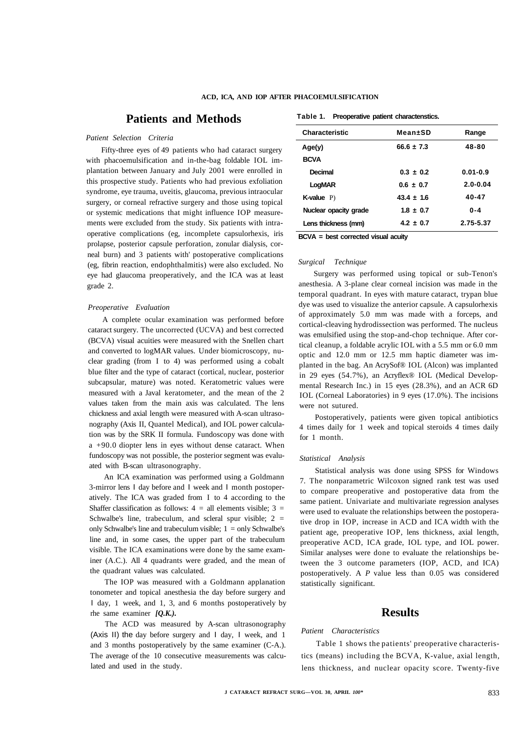# **Patients and Methods**

# *Patient Selection Criteria*

Fifty-three eyes of 49 patients who had cataract surgery with phacoemulsification and in-the-bag foldable IOL implantation between January and July 2001 were enrolled in this prospective study. Patients who had previous exfoliation syndrome, eye trauma, uveitis, glaucoma, previous intraocular surgery, or corneal refractive surgery and those using topical or systemic medications that might influence IOP measurements were excluded from the study. Six patients with intraoperative complications (eg, incomplete capsulorhexis, iris prolapse, posterior capsule perforation, zonular dialysis, corneal burn) and 3 patients with' postoperative complications (eg, fibrin reaction, endophthalmitis) were also excluded. No eye had glaucoma preoperatively, and the ICA was at least grade 2.

#### *Preoperative Evaluation*

A complete ocular examination was performed before cataract surgery. The uncorrected (UCVA) and best corrected (BCVA) visual acuities were measured with the Snellen chart and converted to logMAR values. Under biomicroscopy, nuclear grading (from I to 4) was performed using a cobalt blue filter and the type of cataract (cortical, nuclear, posterior subcapsular, mature) was noted. Keratometric values were measured with a Javal keratometer, and the mean of the 2 values taken from the main axis was calculated. The lens chickness and axial length were measured with A-scan ultrasonography (Axis II, Quantel Medical), and IOL power calculation was by the SRK II formula. Fundoscopy was done with a +90.0 diopter lens in eyes without dense cataract. When fundoscopy was not possible, the posterior segment was evaluated with B-scan ultrasonography.

An ICA examination was performed using a Goldmann 3-mirror lens I day before and I week and I month postoperatively. The ICA was graded from I to 4 according to the Shaffer classification as follows:  $4 =$  all elements visible;  $3 =$ Schwalbe's line, trabeculum, and scleral spur visible;  $2 =$ only Schwalbe's line and trabeculum visible;  $1 =$  only Schwalbe's line and, in some cases, the upper part of the trabeculum visible. The ICA examinations were done by the same examiner (A.C.). All 4 quadrants were graded, and the mean of the quadrant values was calculated.

The IOP was measured with a Goldmann applanation tonometer and topical anesthesia the day before surgery and I day, 1 week, and 1, 3, and 6 months postoperatively by rhe same examiner *[Q.K.).* 

The ACD was measured by A-scan ultrasonography (Axis II) the day before surgery and I day, I week, and 1 and 3 months postoperatively by the same examiner (C-A.). The average of the 10 consecutive measurements was calculated and used in the study.

**Table 1. Preoperative patient charactenstics.** 

| <b>Characteristic</b> | Mean+SD        | Range        |
|-----------------------|----------------|--------------|
| Age(y)                | $66.6 + 7.3$   | 48-80        |
| <b>BCVA</b>           |                |              |
| Decimal               | $0.3 \pm 0.2$  | $0.01 - 0.9$ |
| LogMAR                | $0.6 \pm 0.7$  | $2.0 - 0.04$ |
| <b>K-value</b> $P$ )  | $43.4 \pm 1.6$ | 40-47        |
| Nuclear opacity grade | $1.8 + 0.7$    | $0 - 4$      |
| Lens thickness (mm)   | $4.2 + 0.7$    | 2.75-5.37    |

**BCVA = best corrected visual acuity** 

# *Surgical Technique*

Surgery was performed using topical or sub-Tenon's anesthesia. A 3-plane clear corneal incision was made in the temporal quadrant. In eyes with mature cataract, trypan blue dye was used to visualize the anterior capsule. A capsulorhexis of approximately 5.0 mm was made with a forceps, and cortical-cleaving hydrodissection was performed. The nucleus was emulsified using the stop-and-chop technique. After cortical cleanup, a foldable acrylic IOL with a 5.5 mm or 6.0 mm optic and 12.0 mm or 12.5 mm haptic diameter was implanted in the bag. An AcrySof® IOL (Alcon) was implanted in 29 eyes (54.7%), an Acryflex® IOL (Medical Developmental Research Inc.) in 15 eyes (28.3%), and an ACR 6D IOL (Corneal Laboratories) in 9 eyes (17.0%). The incisions were not sutured.

Postoperatively, patients were given topical antibiotics 4 times daily for 1 week and topical steroids 4 times daily for 1 month.

# *Statistical Analysis*

Statistical analysis was done using SPSS for Windows 7. The nonparametric Wilcoxon signed rank test was used to compare preoperative and postoperative data from the same patient. Univariate and multivariate regression analyses were used to evaluate the relationships between the postoperative drop in IOP, increase in ACD and ICA width with the patient age, preoperative IOP, lens thickness, axial length, preoperative ACD, ICA grade, IOL type, and IOL power. Similar analyses were done to evaluate the relationships between the 3 outcome parameters (IOP, ACD, and ICA) postoperatively. A *P* value less than 0.05 was considered statistically significant.

# **Results**

#### *Patient Characteristics*

Table 1 shows the patients' preoperative characteristics (means) including the BCVA, K-value, axial length, lens thickness, and nuclear opacity score. Twenty-five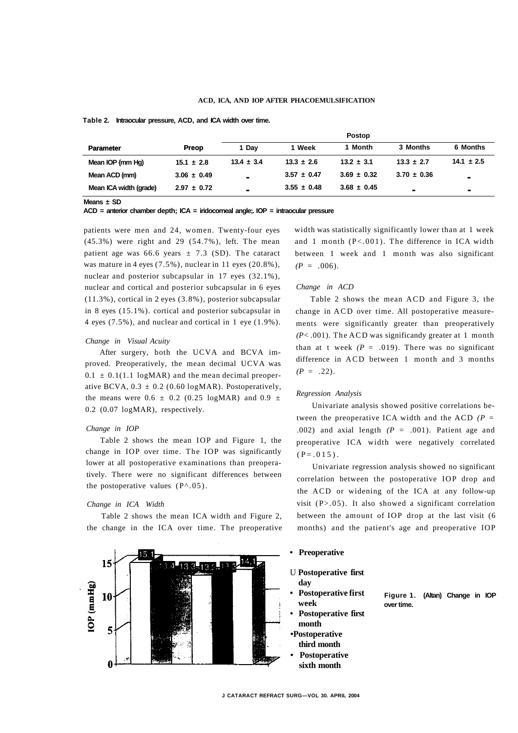## **ACD, ICA, AND IOP AFTER PHACOEMULSIFICATION**

# **Table 2. Intraocular pressure, ACD, and ICA width over time.**

| <b>Parameter</b>       |                 | <b>Postop</b>  |                 |                 |                 |                |
|------------------------|-----------------|----------------|-----------------|-----------------|-----------------|----------------|
|                        | Preop           | 1 Dav          | 1 Week          | 1 Month         | 3 Months        | 6 Months       |
| Mean IOP {mm Hg)       | $15.1 \pm 2.8$  | $13.4 \pm 3.4$ | $13.3 \pm 2.6$  | $13.2 \pm 3.1$  | $13.3 \pm 2.7$  | $14.1 \pm 2.5$ |
| Mean ACD (mm)          | $3.06 \pm 0.49$ |                | $3.57 \pm 0.47$ | $3.69 \pm 0.32$ | $3.70 \pm 0.36$ | $\blacksquare$ |
| Mean ICA width (grade) | $2.97 \pm 0.72$ | $\blacksquare$ | $3.55 \pm 0.48$ | $3.68 \pm 0.45$ |                 | $\blacksquare$ |

**Means ± SD** 

**ACD = anterior chamber depth; ICA = iridocorneal angle;. IOP = intraocular pressure** 

patients were men and 24, women. Twenty-four eyes (45.3%) were right and 29 (54.7%), left. The mean patient age was 66.6 years  $\pm$  7.3 (SD). The cataract was mature in 4 eyes (7.5%), nuclear in 11 eyes (20.8%), nuclear and posterior subcapsular in 17 eyes (32.1%), nuclear and cortical and posterior subcapsular in 6 eyes (11.3%), cortical in 2 eyes (3.8%), posterior subcapsular in 8 eyes (15.1%). cortical and posterior subcapsular in 4 eyes (7.5%), and nuclear and cortical in 1 eye (1.9%).

#### *Change in Visual Acuity*

After surgery, both the UCVA and BCVA improved. Preoperatively, the mean decimal UCVA was  $0.1 \pm 0.1(1.1 \text{log} \text{MAR})$  and the mean decimal preoperative BCVA,  $0.3 \pm 0.2$  (0.60 logMAR). Postoperatively, the means were  $0.6 \pm 0.2$  (0.25 logMAR) and 0.9  $\pm$ 0.2 (0.07 logMAR), respectively.

# *Change in IOP*

Table 2 shows the mean IOP and Figure 1, the change in IOP over time. The IOP was significantly lower at all postoperative examinations than preoperatively. There were no significant differences between the postoperative values  $(P^{\wedge}.05)$ .

## *Change in ICA Width*

Table 2 shows the mean ICA width and Figure 2, the change in the ICA over time. The preoperative



width was statistically significantly lower than at 1 week and 1 month (P<.001). The difference in ICA width between 1 week and 1 month was also significant  $(P = .006)$ .

# *Change in ACD*

Table 2 shows the mean ACD and Figure 3, the change in ACD over time. All postoperative measurements were significantly greater than preoperatively *(P<* .001). The ACD was significandy greater at 1 month than at t week  $(P = .019)$ . There was no significant difference in ACD between 1 month and 3 months  $(P = .22)$ .

# *Regression Analysis*

Univariate analysis showed positive correlations between the preoperative ICA width and the ACD *(P =*  .002) and axial length *(P* = .001). Patient age and preoperative ICA width were negatively correlated  $(P=.015)$ .

Univariate regression analysis showed no significant correlation between the postoperative IOP drop and the ACD or widening of the ICA at any follow-up visit  $(P>0.05)$ . It also showed a significant correlation between the amount of IOP drop at the last visit (6 months) and the patient's age and preoperative IOP

# **• Preoperative**

U **Postoperative first day** 

- **Postoperative first week**
- **Postoperative first month**
- **•Postoperative third month • Postoperative**
- **sixth month**

**Figure 1. (Altan) Change in IOP over time.**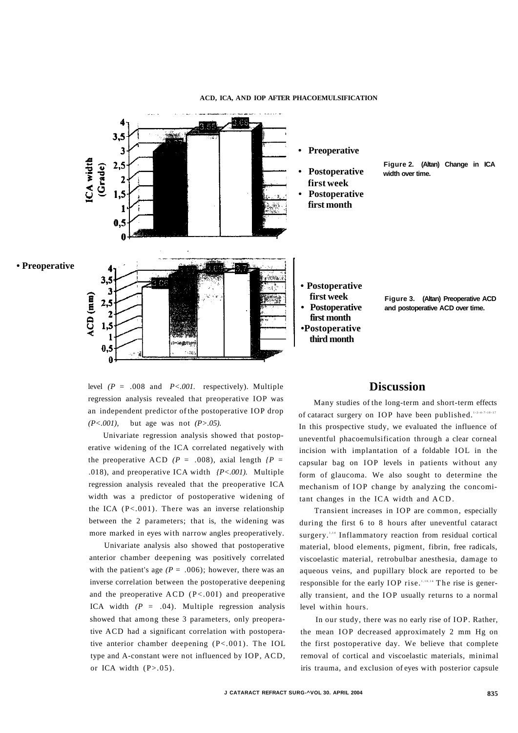

## **ACD, ICA, AND IOP AFTER PHACOEMULSIFICATION**

level *(P* = .008 and *P<.001.* respectively). Multiple regression analysis revealed that preoperative IOP was an independent predictor of the postoperative IOP drop *(P<.001),* but age was not *(P>.05).* 

Univariate regression analysis showed that postoperative widening of the ICA correlated negatively with the preoperative ACD  $(P = .008)$ , axial length  $\langle P =$ .018), and preoperative ICA width *{P<.001).* Multiple regression analysis revealed that the preoperative ICA width was a predictor of postoperative widening of the ICA (P<.001). There was an inverse relationship between the 2 parameters; that is, the widening was more marked in eyes with narrow angles preoperatively.

Univariate analysis also showed that postoperative anterior chamber deepening was positively correlated with the patient's age  $(P = .006)$ ; however, there was an inverse correlation between the postoperative deepening and the preoperative ACD (P<.00I) and preoperative ICA width  $(P = .04)$ . Multiple regression analysis showed that among these 3 parameters, only preoperative ACD had a significant correlation with postoperative anterior chamber deepening (P<.001). The IOL type and A-constant were not influenced by IOP, ACD, or ICA width  $(P>0.05)$ .

# **Discussion**

Many studies of the long-term and short-term effects of cataract surgery on IOP have been published.<sup>1-2-4-7-10-17</sup> In this prospective study, we evaluated the influence of uneventful phacoemulsification through a clear corneal incision with implantation of a foldable IOL in the capsular bag on IOP levels in patients without any form of glaucoma. We also sought to determine the mechanism of IOP change by analyzing the concomitant changes in the ICA width and ACD .

Transient increases in IOP are common, especially during the first 6 to 8 hours after uneventful cataract surgery.<sup>1,14</sup> Inflammatory reaction from residual cortical material, blood elements, pigment, fibrin, free radicals, viscoelastic material, retrobulbar anesthesia, damage to aqueous veins, and pupillary block are reported to be responsible for the early IOP rise.<sup> $1,10,14$ </sup> The rise is generally transient, and the IOP usually returns to a normal level within hours.

In our study, there was no early rise of IOP. Rather, the mean IOP decreased approximately 2 mm Hg on the first postoperative day. We believe that complete removal of cortical and viscoelastic materials, minimal iris trauma, and exclusion of eyes with posterior capsule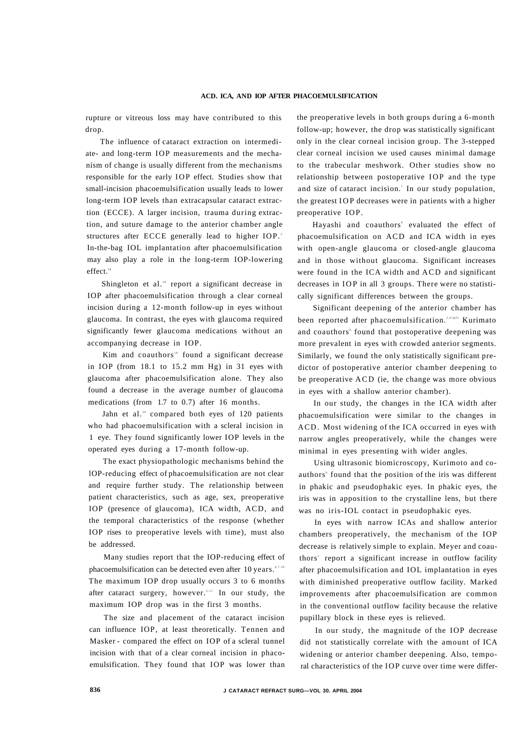rupture or vitreous loss may have contributed to this drop.

The influence of cataract extraction on intermediate- and long-term IOP measurements and the mechanism of change is usually different from the mechanisms responsible for the early IOP effect. Studies show that small-incision phacoemulsification usually leads to lower long-term IOP levels than extracapsular cataract extraction (ECCE). A larger incision, trauma during extraction, and suture damage to the anterior chamber angle structures after ECCE generally lead to higher IOP.<sup>5</sup> In-the-bag IOL implantation after phacoemulsification may also play a role in the long-term IOP-lowering effect.<sup>18</sup>

Shingleton et al.<sup>10</sup> report a significant decrease in IOP after phacoemulsification through a clear corneal incision during a 12-month follow-up in eyes without glaucoma. In contrast, the eyes with glaucoma required significantly fewer glaucoma medications without an accompanying decrease in IOP.

Kim and coauthors<sup>19</sup> found a significant decrease in IOP (from 18.1 to 15.2 mm Hg) in 31 eyes with glaucoma after phacoemulsification alone. They also found a decrease in the average number of glaucoma medications (from 1.7 to 0.7) after 16 months.

Jahn et al.<sup>20</sup> compared both eyes of 120 patients who had phacoemulsification with a scleral incision in 1 eye. They found significantly lower IOP levels in the operated eyes during a 17-month follow-up.

The exact physiopathologic mechanisms behind the lOP-reducing effect of phacoemulsification are not clear and require further study. The relationship between patient characteristics, such as age, sex, preoperative IOP (presence of glaucoma), ICA width, ACD, and the temporal characteristics of the response (whether IOP rises to preoperative levels with time), must also be addressed.

Many studies report that the IOP-reducing effect of phacoemulsification can be detected even after  $10$  years.  $47,10$ The maximum IOP drop usually occurs 3 to 6 months after cataract surgery, however.<sup>2,11</sup> In our study, the maximum IOP drop was in the first 3 months.

The size and placement of the cataract incision can influence IOP, at least theoretically. Tennen and Masker - compared the effect on IOP of a scleral tunnel incision with that of a clear corneal incision in phacoemulsification. They found that IOP was lower than the preoperative levels in both groups during a 6-month follow-up; however, the drop was statistically significant only in the clear corneal incision group. The 3-stepped clear corneal incision we used causes minimal damage to the trabecular meshwork. Other studies show no relationship between postoperative IOP and the type and size of cataract incision.' In our study population, the greatest IO P decreases were in patients with a higher preoperative IOP.

Hayashi and coauthors' evaluated the effect of phacoemulsification on ACD and ICA width in eyes with open-angle glaucoma or closed-angle glaucoma and in those without glaucoma. Significant increases were found in the ICA width and ACD and significant decreases in IOP in all 3 groups. There were no statistically significant differences between the groups.

Significant deepening of the anterior chamber has been reported after phacoemulsification.<sup>2,21422</sup> Kurimato and coauthors' found that postoperative deepening was more prevalent in eyes with crowded anterior segments. Similarly, we found the only statistically significant predictor of postoperative anterior chamber deepening to be preoperative ACD (ie, the change was more obvious in eyes with a shallow anterior chamber).

In our study, the changes in the ICA width after phacoemulsification were similar to the changes in ACD. Most widening of the ICA occurred in eyes with narrow angles preoperatively, while the changes were minimal in eyes presenting with wider angles.

Using ultrasonic biomicroscopy, Kurimoto and coauthors' found that the position of the iris was different in phakic and pseudophakic eyes. In phakic eyes, the iris was in apposition to the crystalline lens, but there was no iris-IOL contact in pseudophakic eyes.

In eyes with narrow ICAs and shallow anterior chambers preoperatively, the mechanism of the IOP decrease is relatively simple to explain. Meyer and coauthors' report a significant increase in outflow facility after phacoemulsification and IOL implantation in eyes with diminished preoperative outflow facility. Marked improvements after phacoemulsification are common in the conventional outflow facility because the relative pupillary block in these eyes is relieved.

In our study, the magnitude of the IOP decrease did not statistically correlate with the amount of ICA widening or anterior chamber deepening. Also, temporal characteristics of the IOP curve over time were differ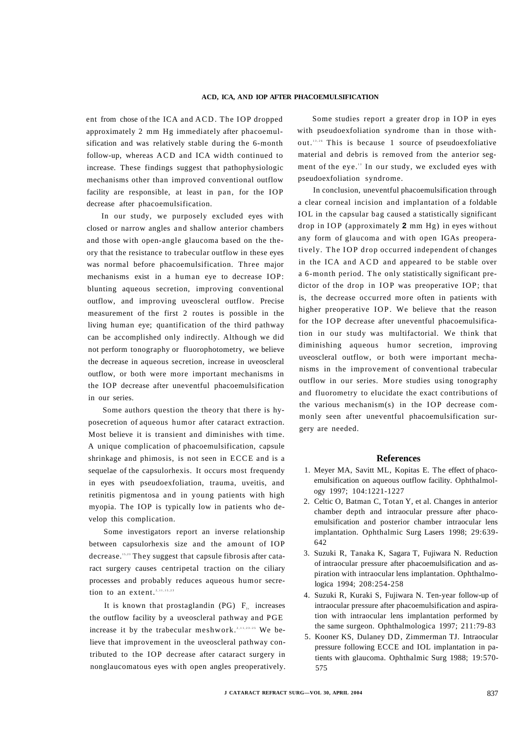ent from chose of the ICA and ACD. The IOP dropped approximately 2 mm Hg immediately after phacoemulsification and was relatively stable during the 6-month follow-up, whereas ACD and ICA width continued to increase. These findings suggest that pathophysiologic mechanisms other than improved conventional outflow facility are responsible, at least in pan, for the IOP decrease after phacoemulsification.

In our study, we purposely excluded eyes with closed or narrow angles and shallow anterior chambers and those with open-angle glaucoma based on the theory that the resistance to trabecular outflow in these eyes was normal before phacoemulsification. Three major mechanisms exist in a human eye to decrease IOP: blunting aqueous secretion, improving conventional outflow, and improving uveoscleral outflow. Precise measurement of the first 2 routes is possible in the living human eye; quantification of the third pathway can be accomplished only indirectly. Although we did not perform tonography or fluorophotometry, we believe the decrease in aqueous secretion, increase in uveoscleral outflow, or both were more important mechanisms in the IOP decrease after uneventful phacoemulsification in our series.

Some authors question the theory that there is hyposecretion of aqueous humor after cataract extraction. Most believe it is transient and diminishes with time. A unique complication of phacoemulsification, capsule shrinkage and phimosis, is not seen in ECCE and is a sequelae of the capsulorhexis. It occurs most frequendy in eyes with pseudoexfoliation, trauma, uveitis, and retinitis pigmentosa and in young patients with high myopia. The IOP is typically low in patients who develop this complication.

Some investigators report an inverse relationship between capsulorhexis size and the amount of IOP decrease.<sup>15,23</sup> They suggest that capsule fibrosis after cataract surgery causes centripetal traction on the ciliary processes and probably reduces aqueous humor secretion to an extent.<sup>2,11,15,23</sup>

It is known that prostaglandin (PG)  $F_{2x}$  increases the outflow facility by a uveoscleral pathway and PGE increase it by the trabecular meshwork.<sup>2,11,23-25</sup> We believe that improvement in the uveoscleral pathway contributed to the IOP decrease after cataract surgery in nonglaucomatous eyes with open angles preoperatively.

Some studies report a greater drop in IOP in eyes with pseudoexfoliation syndrome than in those without.<sup>13,26</sup> This is because 1 source of pseudoexfoliative material and debris is removed from the anterior segment of the eye.<sup>13</sup> In our study, we excluded eyes with pseudoexfoliation syndrome.

In conclusion, uneventful phacoemulsification through a clear corneal incision and implantation of a foldable IOL in the capsular bag caused a statistically significant drop in IOP (approximately **2** mm Hg) in eyes without any form of glaucoma and with open IGAs preoperatively. The IOP drop occurred independent of changes in the ICA and ACD and appeared to be stable over a 6-month period. The only statistically significant predictor of the drop in IOP was preoperative IOP; that is, the decrease occurred more often in patients with higher preoperative IOP. We believe that the reason for the IOP decrease after uneventful phacoemulsification in our study was multifactorial. We think that diminishing aqueous humor secretion, improving uveoscleral outflow, or both were important mechanisms in the improvement of conventional trabecular outflow in our series. More studies using tonography and fluorometry to elucidate the exact contributions of the various mechanism(s) in the IOP decrease commonly seen after uneventful phacoemulsification surgery are needed.

#### **References**

- 1. Meyer MA, Savitt ML, Kopitas E. The effect of phacoemulsification on aqueous outflow facility. Ophthalmology 1997; 104:1221-1227
- 2. Celtic O, Batman C, Totan Y, et al. Changes in anterior chamber depth and intraocular pressure after phacoemulsification and posterior chamber intraocular lens implantation. Ophthalmic Surg Lasers 1998; 29:639- 642
- 3. Suzuki R, Tanaka K, Sagara T, Fujiwara N. Reduction of intraocular pressure after phacoemulsification and aspiration with intraocular lens implantation. Ophthalmologica 1994; 208:254-258
- 4. Suzuki R, Kuraki S, Fujiwara N. Ten-year follow-up of intraocular pressure after phacoemulsification and aspiration with intraocular lens implantation performed by the same surgeon. Ophthalmologica 1997; 211:79-83
- 5. Kooner KS, Dulaney DD, Zimmerman TJ. Intraocular pressure following ECCE and IOL implantation in patients with glaucoma. Ophthalmic Surg 1988; 19:570- 575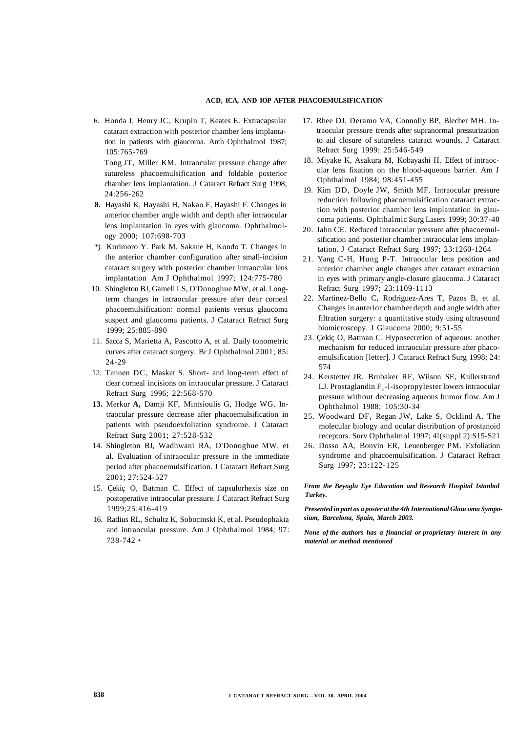## **ACD, ICA, AND IOP AFTER PHACOEMULSIFICATION**

6. Honda J, Henry JC, Krupin T, Keates E. Extracapsular cataract extraction with posterior chamber lens implantation in patients with giaucoma. Arch Ophthalmol 1987; 105:765-769

Tong JT, Miller KM. Intraocular pressure change after sutureless phacoemulsification and foldable posterior chamber lens implantation. J Cataract Refract Surg 1998; 24:256-262

- **8.** Hayashi K, Hayashi H, Nakao F, Hayashi F. Changes in anterior chamber angle width and depth after intraocular lens implantation in eyes with glaucoma. Ophthalmology 2000; 107:698-703
- \*). Kurimoro Y. Park M. Sakaue H, Kondo T. Changes in the anterior chamber configuration after small-incision cataract surgery with posterior chamber intraocular lens implantation Am J Ophthalmol 1997; 124:775-780
- 10. Shingleton BJ, Gamell LS, O'Donoghue MW, et al. Longterm changes in intraocular pressure after dear corneal phacoemulsification: normal patients versus glaucoma suspect and glaucoma patients. J Cataract Refract Surg 1999; 25:885-890
- 11. Sacca S, Marietta A, Pascotto A, et al. Daily tonometric curves after cataract surgery. Br J Ophthalmol 2001; 85: 24-29
- 12. Tennen DC, Masket S. Short- and long-term effect of clear corneal incisions on intraocular pressure. J Cataract Refract Surg 1996; 22:568-570
- **13.** Merkur **A,** Damji KF, Mintsioulis G, Hodge WG. Intraocular pressure decrease after phacoemulsification in patients with pseudoexfoliation syndrome. J Cataract Refract Surg 2001; 27:528-532
- 14. Shingleton BJ, Wadhwani RA, O'Donoghue MW, et al. Evaluation of intraocular pressure in the immediate period after phacoemulsification. J Cataract Refract Surg 2001; 27:524-527
- 15. Çekiç O, Batman C. Effect of capsulorhexis size on postoperative intraocular pressure. J Cataract Refract Surg 1999;25:416-419
- 16. Radius RL, Schultz K, Sobocinski K, et al. Pseudophakia and intraocular pressure. Am J Ophthalmol 1984; 97: 738-742 •
- 17. Rhee DJ, Deramo VA, Connolly BP, Blecher MH. Intraocular pressure trends after supranormal pressurization to aid closure of sutureless cataract wounds. J Cataract Refract Surg 1999; 25:546-549
- 18. Miyake K, Asakura M, Kobayashi H. Effect of intraocular lens fixation on the blood-aqueous barrier. Am J Ophthalmol 1984; 98:451-455
- 19. Kim DD, Doyle JW, Smith MF. Intraocular pressure reduction following phacoemulsification cataract extraction with posterior chamber lens implantation in glaucoma patients. Ophthalmic Surg Lasers 1999; 30:37-40
- 20. Jahn CE. Reduced intraocular pressure after phacoemulsification and posterior chamber intraocular lens implantation. J Cataract Refract Surg 1997; 23:1260-1264
- 21. Yang C-H, Hung P-T. Intraocular lens position and anterior chamber angle changes after cataract extraction in eyes with primary angle-closure glaucoma. J Cataract Refract Surg 1997; 23:1109-1113
- 22. Martinez-Bello C, Rodriguez-Ares T, Pazos B, et al. Changes in anterior chamber depth and angle width after filtration surgery: a quantitative study using ultrasound biomicroscopy. J Glaucoma 2000; 9:51-55
- 23. Çekiç O, Batman C. Hyposecretion of aqueous: another mechanism for reduced intraocular pressure after phacoemulsification [letter]. J Cataract Refract Surg 1998; 24: 574
- 24. Kerstetter JR, Brubaker RF, Wilson SE, Kullerstrand LJ. Prostaglandin  $F_{2a}$ -l-isopropylester lowers intraocular pressure without decreasing aqueous humor flow. Am J Ophthalmol 1988; 105:30-34
- 25. Woodward DF, Regan JW, Lake S, Ocklind A. The molecular biology and ocular distribution of prostanoid receptors. Surv Ophthalmol 1997; 4l(suppl 2):S15-S21
- 26. Dosso AA, Bonvin ER, Leuenberger PM. Exfoliation syndrome and phacoemulsification. J Cataract Refract Surg 1997; 23:122-125

# *From the Beyoglu Eye Education and Research Hospital Istanbul Turkey.*

*Presented in part as a poster at the 4th International Glaucoma Symposium, Barcelona, Spain, March 2003.* 

*None of the authors has a financial or proprietary interest in any material or method mentioned*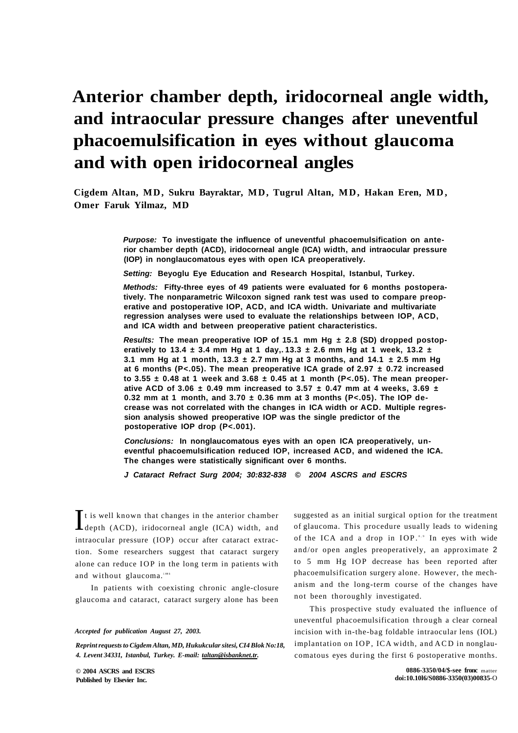# **Anterior chamber depth, iridocorneal angle width, and intraocular pressure changes after uneventful phacoemulsification in eyes without glaucoma and with open iridocorneal angles**

**Cigdem Altan, MD, Sukru Bayraktar, MD, Tugrul Altan, MD, Hakan Eren, MD , Omer Faruk Yilmaz, MD** 

> **Purpose: To investigate the influence of uneventful phacoemulsification on anterior chamber depth (ACD), iridocorneal angle (ICA) width, and intraocular pressure (IOP) in nonglaucomatous eyes with open ICA preoperatively.**

**Setting: Beyoglu Eye Education and Research Hospital, Istanbul, Turkey.** 

**Methods: Fifty-three eyes of 49 patients were evaluated for 6 months postoperatively. The nonparametric Wilcoxon signed rank test was used to compare preoperative and postoperative IOP, ACD, and ICA width. Univariate and multivariate regression analyses were used to evaluate the relationships between IOP, ACD, and ICA width and between preoperative patient characteristics.** 

**Results: The mean preoperative IOP of 15.1 mm Hg ± 2.8 (SD) dropped postoperatively to 13.4 ± 3.4 mm Hg at 1 day,. 13.3 ± 2.6 mm Hg at 1 week, 13.2 ± 3.1 mm Hg at 1 month, 13.3**  $\pm$  **2.7 mm Hg at 3 months, and 14.1**  $\pm$  **2.5 mm Hg at 6 months (P<.05). The mean preoperative ICA grade of 2.97 ± 0.72 increased to 3.55 ± 0.48 at 1 week and 3.68 ± 0.45 at 1 month (P<.05). The mean preoperative ACD of 3.06 ± 0.49 mm increased to 3.57 ± 0.47 mm at 4 weeks, 3.69 ± 0.32 mm at 1 month, and 3.70 ± 0.36 mm at 3 months (P<.05). The IOP decrease was not correlated with the changes in ICA width or ACD. Multiple regression analysis showed preoperative IOP was the single predictor of the postoperative IOP drop (P<.001).** 

**Conclusions: In nonglaucomatous eyes with an open ICA preoperatively, uneventful phacoemulsification reduced IOP, increased ACD, and widened the ICA. The changes were statistically significant over 6 months.** 

**J Cataract Refract Surg 2004; 30:832-838 © 2004 ASCRS and ESCRS** 

It is well known that changes in the anterior chamber<br>depth (ACD), iridocorneal angle (ICA) width, and It is well known that changes in the anterior chamber intraocular pressure (IOP) occur after cataract extraction. Some researchers suggest that cataract surgery alone can reduce IOP in the long term in patients with and without glaucoma.""

In patients with coexisting chronic angle-closure glaucoma and cataract, cataract surgery alone has been

#### *Accepted for publication August 27, 2003.*

*Reprint requests to Cigdem Altan, MD, Hukukcular sitesi, CI4 Blok No:18, 4. Levent 34331, Istanbul, Turkey. E-mail: [taltan@isbanknet.tr.](mailto:taltan@isbanknet.tr)* 

**© 2004 ASCRS and ESCRS Published by Elsevier Inc.** 

suggested as an initial surgical option for the treatment of glaucoma. This procedure usually leads to widening of the ICA and a drop in IOP.<sup>8,9</sup> In eyes with wide and/or open angles preoperatively, an approximate 2 to 5 mm Hg IOP decrease has been reported after phacoemulsification surgery alone. However, the mechanism and the long-term course of the changes have not been thoroughly investigated.

This prospective study evaluated the influence of uneventful phacoemulsification through a clear corneal incision with in-the-bag foldable intraocular lens (IOL) implantation on IOP, ICA width, and ACD in nonglaucomatous eyes during the first 6 postoperative months.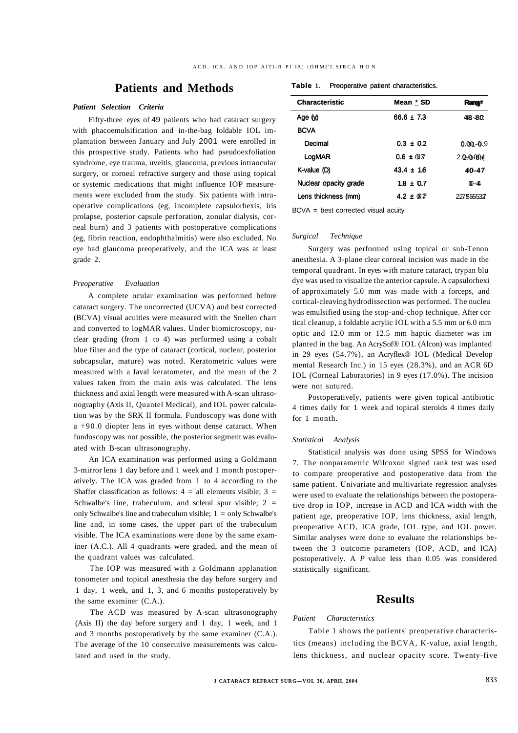# **Patients and Methods**

# *Patient Selection Criteria*

Fifty-three eyes of 49 patients who had cataract surgery with phacoemulsification and in-the-bag foldable IOL implantation between January and July 2001 were enrolled in this prospective study. Patients who had pseudoexfoliation syndrome, eye trauma, uveitis, glaucoma, previous intraocular surgery, or corneal refractive surgery and those using topical or systemic medications that might influence IOP measurements were excluded from the study. Six patients with intraoperative complications (eg, incomplete capsulorhexis, iris prolapse, posterior capsule perforation, zonular dialysis, corneal burn) and 3 patients with postoperative complications (eg, fibrin reaction, endophthalmitis) were also excluded. No eye had glaucoma preoperatively, and the ICA was at least grade 2.

## *Preoperative Evaluation*

A complete ocular examination was performed before cataract surgery. The uncorrected (UCVA) and best corrected (BCVA) visual acuities were measured with the Snellen chart and converted to logMAR values. Under biomicroscopy, nuclear grading (from 1 to 4) was performed using a cobalt blue filter and the type of cataract (cortical, nuclear, posterior subcapsular, mature) was noted. Keratometric values were measured with a Javal keratometer, and the mean of the 2 values taken from the main axis was calculated. The lens thickness and axial length were measured with A-scan ultrasonography (Axis II, Quantel Medical), and IOL power calculation was by the SRK II formula. Fundoscopy was done with a +90.0 diopter lens in eyes without dense cataract. When fundoscopy was not possible, the posterior segment was evaluated with B-scan ultrasonography.

An ICA examination was performed using a Goldmann 3-mirror lens 1 day before and 1 week and 1 month postoperatively. The ICA was graded from 1 to 4 according to the Shaffer classification as follows:  $4 =$  all elements visible;  $3 =$ Schwalbe's line, trabeculum, and scleral spur visible;  $2 =$ only Schwalbe's line and trabeculum visible;  $1 =$  only Schwalbe's line and, in some cases, the upper part of the trabeculum visible. The ICA examinations were done by the same examiner (A.C.). All 4 quadrants were graded, and the mean of the quadrant values was calculated.

The IOP was measured with a Goldmann applanation tonometer and topical anesthesia the day before surgery and 1 day, 1 week, and 1, 3, and 6 months postoperatively by the same examiner (C.A.).

The ACD was measured by A-scan ultrasonography (Axis II) the day before surgery and 1 day, 1 week, and 1 and 3 months postoperatively by the same examiner (C.A.). The average of the 10 consecutive measurements was calculated and used in the study.

| Table 1. |  |  | Preoperative patient characteristics. |
|----------|--|--|---------------------------------------|
|----------|--|--|---------------------------------------|

| <b>Characteristic</b> | Mean * SD      | <b>Rangy</b> |
|-----------------------|----------------|--------------|
| Age (y)               | 66.6 ± 7.3     | $48 - 80$    |
| <b>BCVA</b>           |                |              |
| Decimal               | $0.3 \pm 0.2$  | $0.01 - 0.9$ |
| LogMAR                | $0.6 \pm 0.77$ | 2.0004       |
| K-value (D)           | $43.4 \pm 16$  | 40-47        |
| Nuclear opacity grade | $1.8 + 0.7$    | $(0 - 41)$   |
| Lens thickness (mm)   | $4.2 + 0.7$    | 227655537    |

BCVA = best corrected visual acuity

#### *Surgical Technique*

Surgery was performed using topical or sub-Tenon anesthesia. A 3-plane clear corneal incision was made in the temporal quadrant. In eyes with mature cataract, trypan blu dye was used to visualize the anterior capsule. A capsulorhexi of approximately 5.0 mm was made with a forceps, and cortical-cleaving hydrodissection was performed. The nucleu was emulsified using the stop-and-chop technique. After cor tical cleanup, a foldable acrylic IOL with a 5.5 mm or 6.0 mm optic and 12.0 mm or 12.5 mm haptic diameter was im planted in the bag. An AcrySof® IOL (Alcon) was implanted in 29 eyes (54.7%), an Acryflex® IOL (Medical Develop mental Research Inc.) in 15 eyes (28.3%), and an ACR 6D IOL (Corneal Laboratories) in 9 eyes (17.0%). The incision were not sutured.

Postoperatively, patients were given topical antibiotic 4 times daily for 1 week and topical steroids 4 times daily for 1 month.

#### *Statistical Analysis*

Statistical analysis was done using SPSS for Windows 7. The nonparametric Wilcoxon signed rank test was used to compare preoperative and postoperative data from the same patient. Univariate and multivariate regression analyses were used to evaluate the relationships between the postoperative drop in IOP, increase in ACD and ICA width with the patient age, preoperative IOP, lens thickness, axial length, preoperative ACD, ICA grade, IOL type, and IOL power. Similar analyses were done to evaluate the relationships between the 3 outcome parameters (IOP, ACD, and ICA) postoperatively. A *P* value less than 0.05 was considered statistically significant.

# **Results**

# *Patient Characteristics*

Table 1 shows the patients' preoperative characteristics (means) including the BCVA, K-value, axial length, lens thickness, and nuclear opacity score. Twenty-five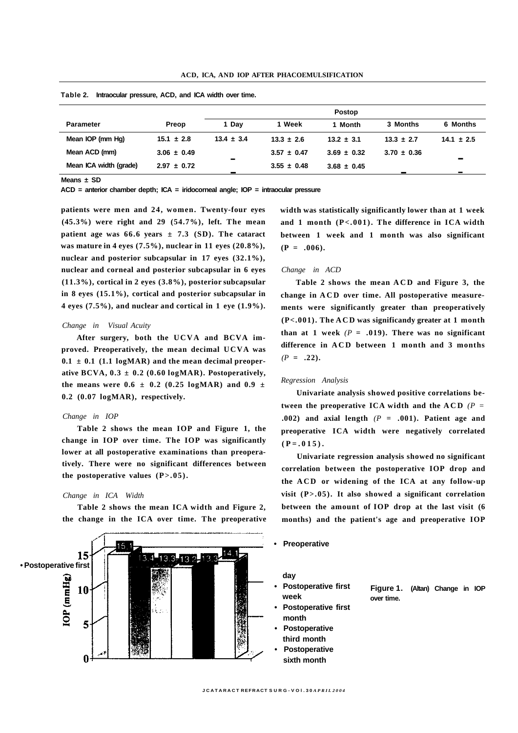|                 | <b>Postop</b>  |                 |                 |                 |                 |
|-----------------|----------------|-----------------|-----------------|-----------------|-----------------|
| Preop           | 1 Dav          | 1 Week          | 1 Month         | 3 Months        | 6 Months        |
| $15.1 \pm 2.8$  | $13.4 \pm 3.4$ | $13.3 \pm 2.6$  | $13.2 \pm 3.1$  | $13.3 \pm 2.7$  | $14.1 \pm 2.5$  |
| $3.06 \pm 0.49$ |                | $3.57 \pm 0.47$ | $3.69 \pm 0.32$ | $3.70 \pm 0.36$ |                 |
| $2.97 \pm 0.72$ |                | $3.55 \pm 0.48$ | $3.68 \pm 0.45$ |                 | $\sim$<br>and i |
|                 |                | $\sim$          |                 |                 |                 |

**Table 2. Intraocular pressure, ACD, and ICA width over time.** 

**Means ± SD** 

**ACD = anterior chamber depth; ICA = iridocorneal angle; IOP = intraocular pressure** 

**patients were men and 24, women. Twenty-four eyes (45.3%) were right and 29 (54.7%), left. The mean patient age was 66.6 years**  $\pm$  **7.3 (SD). The cataract was mature in 4 eyes (7.5%), nuclear in 11 eyes (20.8%), nuclear and posterior subcapsular in 17 eyes (32.1%), nuclear and corneal and posterior subcapsular in 6 eyes (11.3%), cortical in 2 eyes (3.8%), posterior subcapsular in 8 eyes (15.1%), cortical and posterior subcapsular in 4 eyes (7.5%), and nuclear and cortical in 1 eye (1.9%).** 

#### *Change in Visual Acuity*

**After surgery, both the UCVA and BCVA improved. Preoperatively, the mean decimal UCVA was**   $0.1 \pm 0.1$  (1.1 logMAR) and the mean decimal preoper**ative BCVA, 0.3 ± 0.2 (0.60 logMAR). Postoperatively,**  the means were  $0.6 \pm 0.2$  (0.25 logMAR) and  $0.9 \pm 0.2$ **0.2 (0.07 logMAR), respectively.** 

#### *Change in IOP*

**Table 2 shows the mean IOP and Figure 1, the change in IOP over time. The IOP was significantly lower at all postoperative examinations than preoperatively. There were no significant differences between the postoperative values (P>.05).** 

#### *Change in ICA Width*

**Table 2 shows the mean ICA width and Figure 2, the change in the ICA over time. The preoperative** 



**width was statistically significantly lower than at 1 week and 1 month (P<.001). The difference in ICA width between 1 week and 1 month was also significant**   $(P = .006)$ .

# *Change in ACD*

**Table 2 shows the mean AC D and Figure 3, the change in AC D over time. All postoperative measurements were significantly greater than preoperatively (P<.001). The AC D was significandy greater at 1 month**  than at 1 week  $(P = .019)$ . There was no significant **difference in AC D between 1 month and 3 months**   $(P = .22)$ .

#### *Regression Analysis*

**Univariate analysis showed positive correlations between the preoperative ICA width and the ACD**  $(P =$ **.002) and axial length** *(P* **= .001). Patient age and preoperative ICA width were negatively correlated**   $(P = .015)$ .

**Univariate regression analysis showed no significant correlation between the postoperative IOP drop and the ACD or widening of the ICA at any follow-up visit (P>.05). It also showed a significant correlation between the amount of IOP drop at the last visit (6 months) and the patient's age and preoperative IOP** 

**• Preoperative** 

**day** 

- **Postoperative first week**
- **Postoperative first month**
- **Postoperative third month**
- **Postoperative sixth month**

**Figure 1. (Altan) Change in IOP over time.**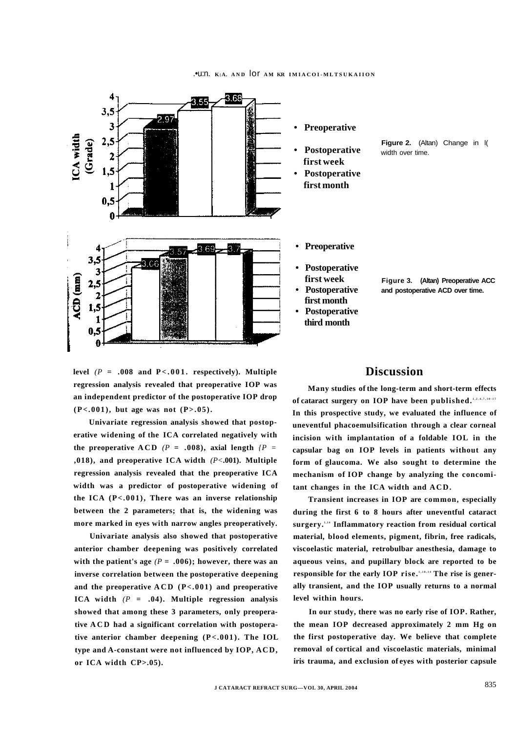

level  $(P = .008$  and  $P < .001$  **.** respectively). Multiple **regression analysis revealed that preoperative IOP was an independent predictor of the postoperative IOP drop**   $(P<.001)$ , but age was not  $(P>.05)$ .

**Univariate regression analysis showed that postoperative widening of the ICA correlated negatively with**  the preoperative ACD  $(P = .008)$ , axial length  $\{P =$ **,018), and preoperative ICA width** *(P<***.001). Multiple regression analysis revealed that the preoperative ICA width was a predictor of postoperative widening of the ICA (P<.001), There was an inverse relationship between the 2 parameters; that is, the widening was more marked in eyes with narrow angles preoperatively.** 

**Univariate analysis also showed that postoperative anterior chamber deepening was positively correlated**  with the patient's age  $(P = .006)$ ; however, there was an **inverse correlation between the postoperative deepening**  and the preoperative  $ACD$   $(P<.001)$  and preoperative **ICA width** *(P* **= .04). Multiple regression analysis showed that among these 3 parameters, only preoperative AC D had a significant correlation with postoperative anterior chamber deepening (P<.001). The IOL type and A-constant were not influenced by IOP, ACD, or ICA width CP>.05).** 



**Figure 2.** (Altan) Change in l( width over time.

- **Preoperative**
- **Postoperative first week**
- **Postoperative first month • Postoperative**
- **third month**

**Figure 3. (Altan) Preoperative ACC and postoperative ACD over time.** 

# **Discussion**

**Many studies of the long-term and short-term effects of cataract surgery on IOP have been published. 1,2,4,7,10-1 <sup>7</sup> In this prospective study, we evaluated the influence of uneventful phacoemulsification through a clear corneal incision with implantation of a foldable IOL in the capsular bag on IOP levels in patients without any form of glaucoma. We also sought to determine the mechanism of IOP change by analyzing the concomitant changes in the ICA width and ACD.** 

**Transient increases in IOP are common, especially during the first 6 to 8 hours after uneventful cataract surgery. 1,1 <sup>4</sup> Inflammatory reaction from residual cortical material, blood elements, pigment, fibrin, free radicals, viscoelastic material, retrobulbar anesthesia, damage to aqueous veins, and pupillary block are reported to be responsible for the early IOP rise. 1,10,1 <sup>4</sup> The rise is generally transient, and the IOP usually returns to a normal level within hours.** 

**In our study, there was no early rise of IOP. Rather, the mean IOP decreased approximately 2 mm Hg on the first postoperative day. We believe that complete removal of cortical and viscoelastic materials, minimal iris trauma, and exclusion of eyes with posterior capsule**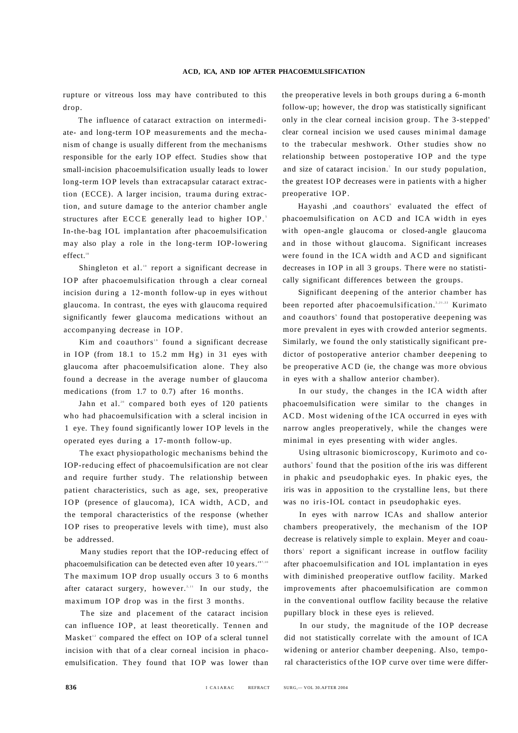rupture or vitreous loss may have contributed to this drop.

The influence of cataract extraction on intermediate- and long-term IO P measurements and the mechanism of change is usually different from the mechanisms responsible for the early IOP effect. Studies show that small-incision phacoemulsification usually leads to lower long-term IOP levels than extracapsular cataract extraction (ECCE). A larger incision, trauma during extraction, and suture damage to the anterior chamber angle structures after ECCE generally lead to higher IOP.<sup>5</sup> In-the-bag IOL implantation after phacoemulsification may also play a role in the long-term IOP-lowering effect.<sup>18</sup>

Shingleton et al.<sup>10</sup> report a significant decrease in IOP after phacoemulsification through a clear corneal incision during a 12-month follow-up in eyes without glaucoma. In contrast, the eyes with glaucoma required significantly fewer glaucoma medications without an accompanying decrease in IOP.

Kim and coauthors" found a significant decrease in IOP (from 18.1 to 15.2 mm Hg) in 31 eyes with glaucoma after phacoemulsification alone. They also found a decrease in the average number of glaucoma medications (from 1.7 to 0.7) after 16 months.

Jahn et al.<sup>20</sup> compared both eyes of 120 patients who had phacoemulsification with a scleral incision in 1 eye. They found significantly lower IOP levels in the operated eyes during a 17-month follow-up.

The exact physiopathologic mechanisms behind the IOP-reducing effect of phacoemulsification are not clear and require further study. The relationship between patient characteristics, such as age, sex, preoperative IOP (presence of glaucoma), ICA width, ACD, and the temporal characteristics of the response (whether IOP rises to preoperative levels with time), must also be addressed.

Many studies report that the IOP-reducing effect of phacoemulsification can be detected even after 10 years.  $477,10$ The maximum IOP drop usually occurs 3 to 6 months after cataract surgery, however.<sup>2,11</sup> In our study, the maximum IOP drop was in the first 3 months.

The size and placement of the cataract incision can influence IOP, at least theoretically. Tennen and Masket<sup>12</sup> compared the effect on IOP of a scleral tunnel incision with that of a clear corneal incision in phacoemulsification. They found that IOP was lower than the preoperative levels in both groups during a 6-month follow-up; however, the drop was statistically significant only in the clear corneal incision group. The 3-stepped' clear corneal incision we used causes minimal damage to the trabecular meshwork. Other studies show no relationship between postoperative IOP and the type and size of cataract incision.' In our study population, the greatest IOP decreases were in patients with a higher preoperative IOP.

Hayashi ,and coauthors' evaluated the effect of phacoemulsification on ACD and ICA width in eyes with open-angle glaucoma or closed-angle glaucoma and in those without glaucoma. Significant increases were found in the ICA width and ACD and significant decreases in IOP in all 3 groups. There were no statistically significant differences between the groups.

Significant deepening of the anterior chamber has been reported after phacoemulsification.<sup>2,21,22</sup> Kurimato and coauthors' found that postoperative deepening was more prevalent in eyes with crowded anterior segments. Similarly, we found the only statistically significant predictor of postoperative anterior chamber deepening to be preoperative ACD (ie, the change was more obvious in eyes with a shallow anterior chamber).

In our study, the changes in the ICA width after phacoemulsification were similar to the changes in ACD. Most widening of the ICA occurred in eyes with narrow angles preoperatively, while the changes were minimal in eyes presenting with wider angles.

Using ultrasonic biomicroscopy, Kurimoto and coauthors' found that the position of the iris was different in phakic and pseudophakic eyes. In phakic eyes, the iris was in apposition to the crystalline lens, but there was no iris-IOL contact in pseudophakic eyes.

In eyes with narrow ICAs and shallow anterior chambers preoperatively, the mechanism of the IOP decrease is relatively simple to explain. Meyer and coauthors' report a significant increase in outflow facility after phacoemulsification and IOL implantation in eyes with diminished preoperative outflow facility. Marked improvements after phacoemulsification are common in the conventional outflow facility because the relative pupillary block in these eyes is relieved.

In our study, the magnitude of the IOP decrease did not statistically correlate with the amount of ICA widening or anterior chamber deepening. Also, temporal characteristics of the IOP curve over time were differ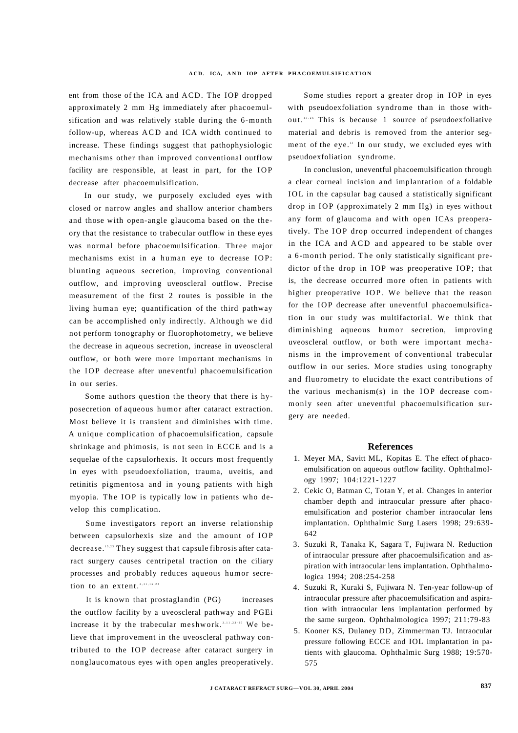ent from those of the ICA and ACD. The IOP dropped approximately 2 mm Hg immediately after phacoemulsification and was relatively stable during the 6-month follow-up, whereas ACD and ICA width continued to increase. These findings suggest that pathophysiologic mechanisms other than improved conventional outflow facility are responsible, at least in part, for the IOP decrease after phacoemulsification.

In our study, we purposely excluded eyes with closed or narrow angles and shallow anterior chambers and those with open-angle glaucoma based on the theory that the resistance to trabecular outflow in these eyes was normal before phacoemulsification. Three major mechanisms exist in a human eye to decrease IOP: blunting aqueous secretion, improving conventional outflow, and improving uveoscleral outflow. Precise measurement of the first 2 routes is possible in the living human eye; quantification of the third pathway can be accomplished only indirectly. Although we did not perform tonography or fluorophotometry, we believe the decrease in aqueous secretion, increase in uveoscleral outflow, or both were more important mechanisms in the IOP decrease after uneventful phacoemulsification in our series.

Some authors question the theory that there is hyposecretion of aqueous humor after cataract extraction. Most believe it is transient and diminishes with time. A unique complication of phacoemulsification, capsule shrinkage and phimosis, is not seen in ECCE and is a sequelae of the capsulorhexis. It occurs most frequently in eyes with pseudoexfoliation, trauma, uveitis, and retinitis pigmentosa and in young patients with high myopia. The IOP is typically low in patients who develop this complication.

Some investigators report an inverse relationship between capsulorhexis size and the amount of IOP decrease.<sup>15,23</sup> They suggest that capsule fibrosis after cataract surgery causes centripetal traction on the ciliary processes and probably reduces aqueous humor secretion to an extent.<sup>2,11,15,23</sup>

It is known that prostaglandin (PG) increases the outflow facility by a uveoscleral pathway and PGEi increase it by the trabecular meshwork.<sup>2,11,23,25</sup> We believe that improvement in the uveoscleral pathway contributed to the IOP decrease after cataract surgery in nonglaucomatous eyes with open angles preoperatively.

Some studies report a greater drop in IOP in eyes with pseudoexfoliation syndrome than in those without.<sup>13,26</sup> This is because 1 source of pseudoexfoliative material and debris is removed from the anterior segment of the eye.<sup>13</sup> In our study, we excluded eyes with pseudoexfoliation syndrome.

In conclusion, uneventful phacoemulsification through a clear corneal incision and implantation of a foldable I OL in the capsular bag caused a statistically significant drop in IOP (approximately 2 mm Hg) in eyes without any form of glaucoma and with open ICAs preoperatively. The IOP drop occurred independent of changes in the ICA and ACD and appeared to be stable over a 6-month period. The only statistically significant predictor of the drop in IOP was preoperative IOP; that is, the decrease occurred more often in patients with higher preoperative IOP. We believe that the reason for the IOP decrease after uneventful phacoemulsification in our study was multifactorial. We think that diminishing aqueous humor secretion, improving uveoscleral outflow, or both were important mechanisms in the improvement of conventional trabecular outflow in our series. More studies using tonography and fluorometry to elucidate the exact contributions of the various mechanism(s) in the IOP decrease commonly seen after uneventful phacoemulsification surgery are needed.

#### **References**

- 1. Meyer MA, Savitt ML, Kopitas E. The effect of phacoemulsification on aqueous outflow facility. Ophthalmology 1997; 104:1221-1227
- 2. Cekic O, Batman C, Totan Y, et al. Changes in anterior chamber depth and intraocular pressure after phacoemulsification and posterior chamber intraocular lens implantation. Ophthalmic Surg Lasers 1998; 29:639- 642
- 3. Suzuki R, Tanaka K, Sagara T, Fujiwara N. Reduction of intraocular pressure after phacoemulsification and aspiration with intraocular lens implantation. Ophthalmologica 1994; 208:254-258
- 4. Suzuki R, Kuraki S, Fujiwara N. Ten-year follow-up of intraocular pressure after phacoemulsification and aspiration with intraocular lens implantation performed by the same surgeon. Ophthalmologica 1997; 211:79-83
- 5. Kooner KS, Dulaney DD, Zimmerman TJ. Intraocular pressure following ECCE and IOL implantation in patients with glaucoma. Ophthalmic Surg 1988; 19:570- 575